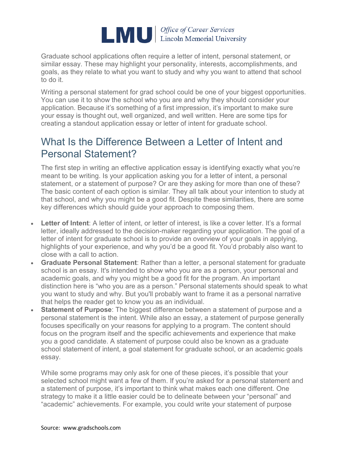

[Graduate school applications](https://www.gradschools.com/get-informed/applying-graduate-school) often require a letter of intent, personal statement, or similar essay. These may highlight your personality, interests, accomplishments, and goals, as they relate to what you want to study and why you want to attend that school to do it.

Writing a personal statement for grad school could be one of your biggest opportunities. You can use it to show the school who you are and why they should consider your application. Because it's something of a first impression, it's important to make sure your essay is thought out, well organized, and well written. Here are some tips for creating a standout application essay or letter of intent for graduate school.

### What Is the Difference Between a Letter of Intent and Personal Statement?

The first step in writing an effective application essay is identifying exactly what you're meant to be writing. Is your application asking you for a letter of intent, a personal statement, or a statement of purpose? Or are they asking for more than one of these? The basic content of each option is similar. They all talk about your intention to study at that school, and why you might be a good fit. Despite these similarities, there are some key differences which should guide your approach to composing them.

- **Letter of Intent**: A [letter of intent,](https://www.gradschools.com/get-informed/applying-graduate-school/essay-writing/sample-letter-of-intent-for-graduate-school) or letter of interest, is like a cover letter. It's a formal letter, ideally addressed to the decision-maker regarding your application. The goal of a letter of intent for graduate school is to provide an overview of your goals in applying, highlights of your experience, and why you'd be a good fit. You'd probably also want to close with a call to action.
- **Graduate Personal Statement**: Rather than a letter, a [personal statement for graduate](https://www.gradschools.com/get-informed/applying-graduate-school/essay-writing/graduate-school-personal-statement-examples)  [school](https://www.gradschools.com/get-informed/applying-graduate-school/essay-writing/graduate-school-personal-statement-examples) is an essay. It's intended to show who you are as a person, your personal and academic goals, and why you might be a good fit for the program. An important distinction here is "who you are as a person." Personal statements should speak to what you want to study and why. But you'll probably want to frame it as a personal narrative that helps the reader get to know you as an individual.
- **Statement of Purpose**: The biggest difference between a statement of purpose and a personal statement is the intent. While also an essay, a statement of purpose generally focuses specifically on your reasons for applying to a program. The content should focus on the program itself and the specific achievements and experience that make you a good candidate. A statement of purpose could also be known as a graduate school statement of intent, a goal statement for graduate school, or an academic goals essay.

While some programs may only ask for one of these pieces, it's possible that your selected school might want a few of them. If you're asked for a personal statement and a statement of purpose, it's important to think what makes each one different. One strategy to make it a little easier could be to delineate between your "personal" and "academic" achievements. For example, you could write your statement of purpose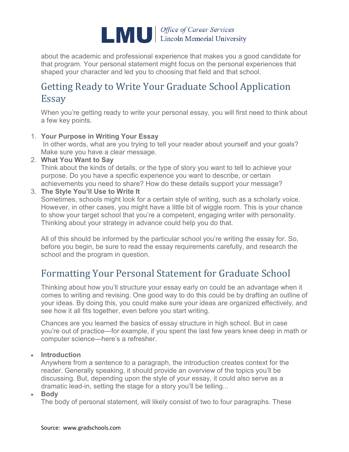

about the academic and professional experience that makes you a good candidate for that program. Your personal statement might focus on the personal experiences that shaped your character and led you to choosing that field and that school.

## Getting Ready to Write Your Graduate School Application Essay

When you're getting ready to write your personal essay, you will first need to think about a few key points.

1. **Your Purpose in Writing Your Essay**

In other words, what are you trying to tell your reader about yourself and your goals? Make sure you have a clear message.

2. **What You Want to Say**

Think about the kinds of details, or the type of story you want to tell to achieve your purpose. Do you have a specific experience you want to describe, or certain achievements you need to share? How do these details support your message?

3. **The Style You'll Use to Write It**

Sometimes, schools might look for a certain style of writing, such as a scholarly voice. However, in other cases, you might have a little bit of wiggle room. This is your chance to show your target school that you're a competent, engaging writer with personality. Thinking about your strategy in advance could help you do that.

All of this should be informed by the particular school you're writing the essay for. So, before you begin, be sure to read the essay requirements carefully, and research the school and the program in question.

## Formatting Your Personal Statement for Graduate School

Thinking about how you'll structure your essay early on could be an advantage when it comes to writing and revising. One good way to do this could be by drafting an outline of your ideas. By doing this, you could make sure your ideas are organized effectively, and see how it all fits together, even before you start writing.

Chances are you learned the basics of essay structure in high school. But in case you're out of practice—for example, if you spent the last few years knee deep in math or computer science—here's a refresher.

• **Introduction**

Anywhere from a sentence to a paragraph, the introduction creates context for the reader. Generally speaking, it should provide an overview of the topics you'll be discussing. But, depending upon the style of your essay, it could also serve as a dramatic lead-in, setting the stage for a story you'll be telling...

• **Body**

The body of personal statement, will likely consist of two to four paragraphs. These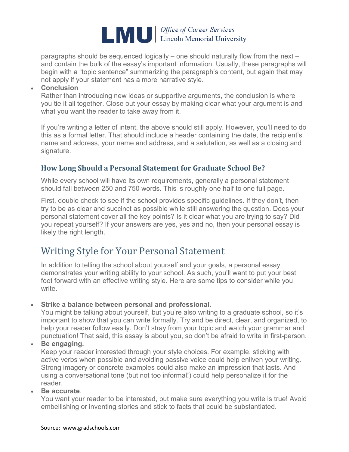

paragraphs should be sequenced logically – one should naturally flow from the next – and contain the bulk of the essay's important information. Usually, these paragraphs will begin with a "topic sentence" summarizing the paragraph's content, but again that may not apply if your statement has a more narrative style.

#### • **Conclusion**

Rather than introducing new ideas or supportive arguments, the conclusion is where you tie it all together. Close out your essay by making clear what your argument is and what you want the reader to take away from it.

If you're writing a letter of intent, the above should still apply. However, you'll need to do this as a formal letter. That should include a header containing the date, the recipient's name and address, your name and address, and a salutation, as well as a closing and signature.

### **How Long Should a Personal Statement for Graduate School Be?**

While every school will have its own requirements, generally a personal statement should fall between 250 and 750 words. This is roughly one half to one full page.

First, double check to see if the school provides specific guidelines. If they don't, then try to be as clear and succinct as possible while still answering the question. Does your personal statement cover all the key points? Is it clear what you are trying to say? Did you repeat yourself? If your answers are yes, yes and no, then your personal essay is likely the right length.

### Writing Style for Your Personal Statement

In addition to telling the school about yourself and your goals, a personal essay demonstrates your writing ability to your school. As such, you'll want to put your best foot forward with an effective writing style. Here are some tips to consider while you write.

#### • **Strike a balance between personal and professional.**

You might be talking about yourself, but you're also writing to a graduate school, so it's important to show that you can write formally. Try and be direct, clear, and organized, to help your reader follow easily. Don't stray from your topic and watch your grammar and punctuation! That said, this essay is about you, so don't be afraid to write in first-person.

#### • **Be engaging.**

Keep your reader interested through your style choices. For example, sticking with active verbs when possible and avoiding passive voice could help enliven your writing. Strong imagery or concrete examples could also make an impression that lasts. And using a conversational tone (but not too informal!) could help personalize it for the reader.

• **Be accurate**.

You want your reader to be interested, but make sure everything you write is true! Avoid embellishing or inventing stories and stick to facts that could be substantiated.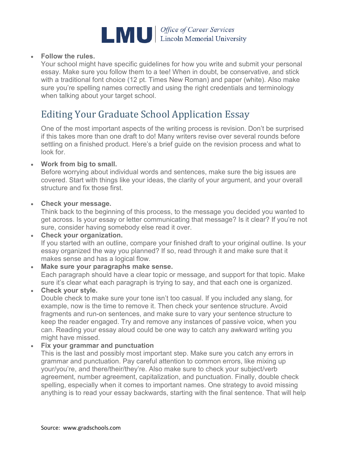

#### • **Follow the rules.**

Your school might have specific guidelines for how you write and submit your personal essay. Make sure you follow them to a tee! When in doubt, be conservative, and stick with a traditional font choice (12 pt. Times New Roman) and paper (white). Also make sure you're spelling names correctly and using the right credentials and terminology when talking about your target school.

### Editing Your Graduate School Application Essay

One of the most important aspects of the writing process is revision. Don't be surprised if this takes more than one draft to do! Many writers revise over several rounds before settling on a finished product. Here's a brief guide on the revision process and what to look for.

#### • **Work from big to small.**

Before worrying about individual words and sentences, make sure the big issues are covered. Start with things like your ideas, the clarity of your argument, and your overall structure and fix those first.

#### • **Check your message.**

Think back to the beginning of this process, to the message you decided you wanted to get across. Is your essay or letter communicating that message? Is it clear? If you're not sure, consider having somebody else read it over.

• **Check your organization.** If you started with an outline, compare your finished draft to your original outline. Is your essay organized the way you planned? If so, read through it and make sure that it makes sense and has a logical flow.

#### • **Make sure your paragraphs make sense.** Each paragraph should have a clear topic or message, and support for that topic. Make sure it's clear what each paragraph is trying to say, and that each one is organized.

• **Check your style.** Double check to make sure your tone isn't too casual. If you included any slang, for example, now is the time to remove it. Then check your sentence structure. Avoid fragments and run-on sentences, and make sure to vary your sentence structure to keep the reader engaged. Try and remove any instances of passive voice, when you can. Reading your essay aloud could be one way to catch any awkward writing you might have missed.

#### • **Fix your grammar and punctuation**

This is the last and possibly most important step. Make sure you catch any errors in grammar and punctuation. Pay careful attention to common errors, like mixing up your/you're, and there/their/they're. Also make sure to check your subject/verb agreement, number agreement, capitalization, and punctuation. Finally, double check spelling, especially when it comes to important names. One strategy to avoid missing anything is to read your essay backwards, starting with the final sentence. That will help